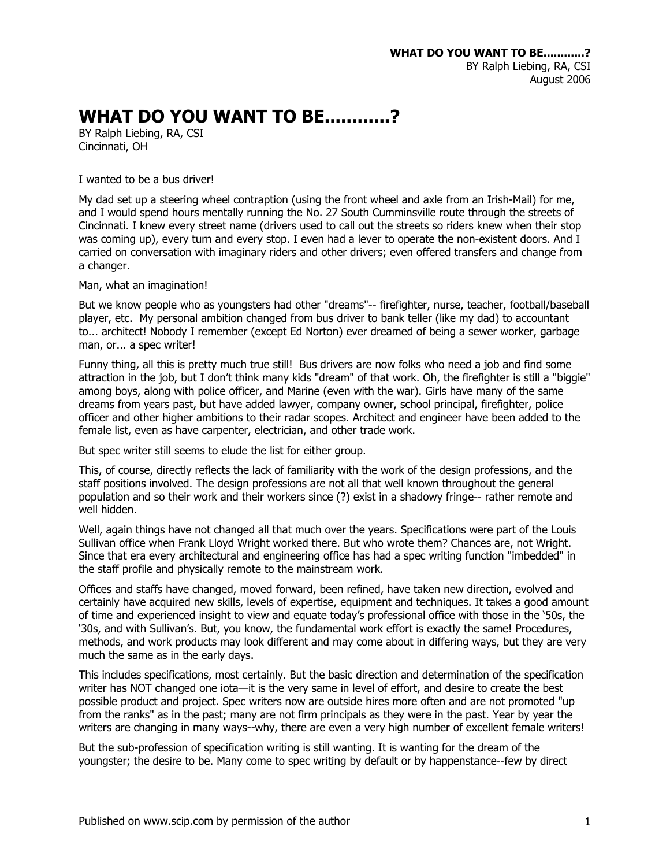## **WHAT DO YOU WANT TO BE............?**

BY Ralph Liebing, RA, CSI Cincinnati, OH

## I wanted to be a bus driver!

My dad set up a steering wheel contraption (using the front wheel and axle from an Irish-Mail) for me, and I would spend hours mentally running the No. 27 South Cumminsville route through the streets of Cincinnati. I knew every street name (drivers used to call out the streets so riders knew when their stop was coming up), every turn and every stop. I even had a lever to operate the non-existent doors. And I carried on conversation with imaginary riders and other drivers; even offered transfers and change from a changer.

Man, what an imagination!

But we know people who as youngsters had other "dreams"-- firefighter, nurse, teacher, football/baseball player, etc. My personal ambition changed from bus driver to bank teller (like my dad) to accountant to... architect! Nobody I remember (except Ed Norton) ever dreamed of being a sewer worker, garbage man, or... a spec writer!

Funny thing, all this is pretty much true still! Bus drivers are now folks who need a job and find some attraction in the job, but I don't think many kids "dream" of that work. Oh, the firefighter is still a "biggie" among boys, along with police officer, and Marine (even with the war). Girls have many of the same dreams from years past, but have added lawyer, company owner, school principal, firefighter, police officer and other higher ambitions to their radar scopes. Architect and engineer have been added to the female list, even as have carpenter, electrician, and other trade work.

But spec writer still seems to elude the list for either group.

This, of course, directly reflects the lack of familiarity with the work of the design professions, and the staff positions involved. The design professions are not all that well known throughout the general population and so their work and their workers since (?) exist in a shadowy fringe-- rather remote and well hidden.

Well, again things have not changed all that much over the years. Specifications were part of the Louis Sullivan office when Frank Lloyd Wright worked there. But who wrote them? Chances are, not Wright. Since that era every architectural and engineering office has had a spec writing function "imbedded" in the staff profile and physically remote to the mainstream work.

Offices and staffs have changed, moved forward, been refined, have taken new direction, evolved and certainly have acquired new skills, levels of expertise, equipment and techniques. It takes a good amount of time and experienced insight to view and equate today's professional office with those in the '50s, the '30s, and with Sullivan's. But, you know, the fundamental work effort is exactly the same! Procedures, methods, and work products may look different and may come about in differing ways, but they are very much the same as in the early days.

This includes specifications, most certainly. But the basic direction and determination of the specification writer has NOT changed one iota—it is the very same in level of effort, and desire to create the best possible product and project. Spec writers now are outside hires more often and are not promoted "up from the ranks" as in the past; many are not firm principals as they were in the past. Year by year the writers are changing in many ways--why, there are even a very high number of excellent female writers!

But the sub-profession of specification writing is still wanting. It is wanting for the dream of the youngster; the desire to be. Many come to spec writing by default or by happenstance--few by direct